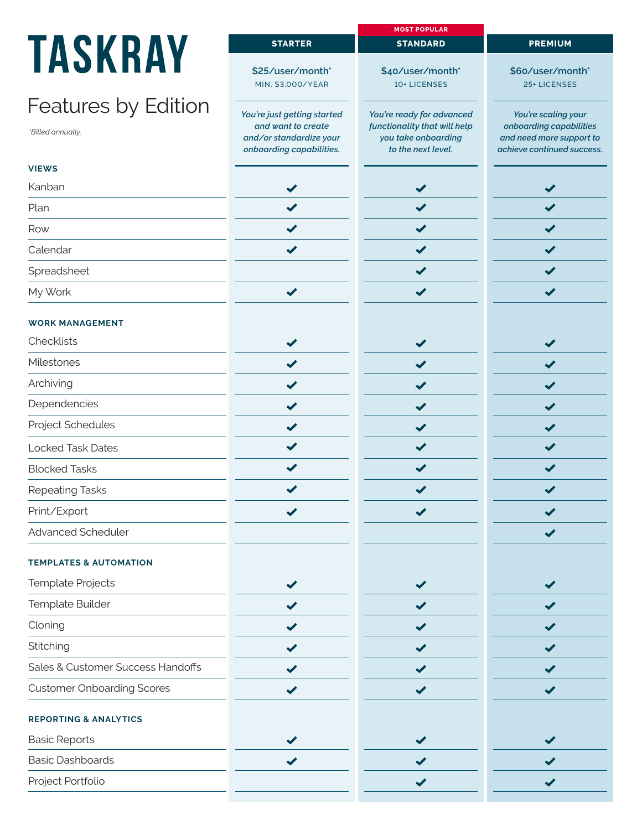## **TAS**

## Feature

|                                   |                                                                           | <b>MOST POPULAR</b>                                                       |                                                                                   |
|-----------------------------------|---------------------------------------------------------------------------|---------------------------------------------------------------------------|-----------------------------------------------------------------------------------|
| <b>TASKRAY</b>                    | <b>STARTER</b>                                                            | <b>STANDARD</b>                                                           | <b>PREMIUM</b>                                                                    |
|                                   | \$25/user/month*                                                          | \$40/user/month*                                                          | \$60/user/month*                                                                  |
|                                   | MIN. \$3,000/YEAR                                                         | 10+ LICENSES                                                              | 25+ LICENSES                                                                      |
| <b>Features by Edition</b>        | You're just getting started                                               | You're ready for advanced                                                 | You're scaling your                                                               |
| *Billed annually.                 | and want to create<br>and/or standardize your<br>onboarding capabilities. | functionality that will help<br>you take onboarding<br>to the next level. | onboarding capabilities<br>and need more support to<br>achieve continued success. |
| <b>VIEWS</b>                      |                                                                           |                                                                           |                                                                                   |
| Kanban                            |                                                                           |                                                                           | ✔                                                                                 |
| Plan                              |                                                                           |                                                                           |                                                                                   |
| Row                               |                                                                           |                                                                           | $\checkmark$                                                                      |
| Calendar                          | ✔                                                                         |                                                                           | $\blacktriangledown$                                                              |
| Spreadsheet                       |                                                                           | $\blacktriangledown$                                                      | $\blacktriangledown$                                                              |
| My Work                           | $\blacktriangledown$                                                      | $\blacktriangledown$                                                      | ✔                                                                                 |
| <b>WORK MANAGEMENT</b>            |                                                                           |                                                                           |                                                                                   |
| Checklists                        |                                                                           |                                                                           | ✔                                                                                 |
| Milestones                        |                                                                           |                                                                           |                                                                                   |
| Archiving                         | ✔                                                                         |                                                                           | $\blacktriangledown$                                                              |
| Dependencies                      | ✔                                                                         |                                                                           | ✔                                                                                 |
| Project Schedules                 | ✔                                                                         | $\checkmark$                                                              | ✔                                                                                 |
| <b>Locked Task Dates</b>          |                                                                           |                                                                           | ✔                                                                                 |
| <b>Blocked Tasks</b>              |                                                                           |                                                                           |                                                                                   |
| <b>Repeating Tasks</b>            |                                                                           |                                                                           |                                                                                   |
| Print/Export                      |                                                                           |                                                                           |                                                                                   |
| Advanced Scheduler                |                                                                           |                                                                           |                                                                                   |
| <b>TEMPLATES &amp; AUTOMATION</b> |                                                                           |                                                                           |                                                                                   |
| Template Projects                 |                                                                           |                                                                           |                                                                                   |
| Template Builder                  |                                                                           |                                                                           | ✔                                                                                 |
| Cloning                           |                                                                           |                                                                           |                                                                                   |
| Stitching                         | ✔                                                                         |                                                                           | ✔                                                                                 |
| Sales & Customer Success Handoffs |                                                                           |                                                                           | ✔                                                                                 |
| <b>Customer Onboarding Scores</b> |                                                                           |                                                                           | $\checkmark$                                                                      |
| <b>REPORTING &amp; ANALYTICS</b>  |                                                                           |                                                                           |                                                                                   |
| <b>Basic Reports</b>              |                                                                           |                                                                           |                                                                                   |
| <b>Basic Dashboards</b>           |                                                                           |                                                                           |                                                                                   |
| Project Portfolio                 |                                                                           |                                                                           |                                                                                   |